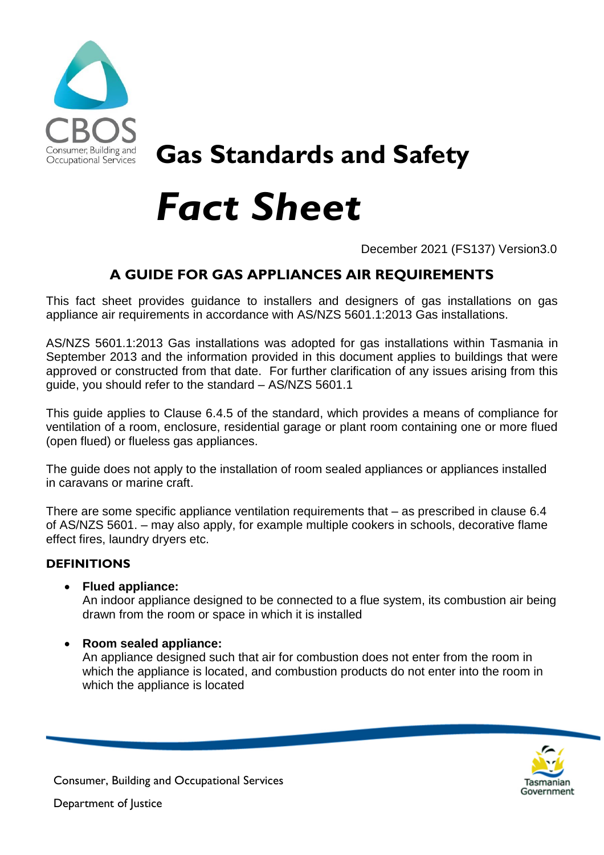

## **Gas Standards and Safety**

# *Fact Sheet*

December 2021 (FS137) Version3.0

### **A GUIDE FOR GAS APPLIANCES AIR REQUIREMENTS**

This fact sheet provides guidance to installers and designers of gas installations on gas appliance air requirements in accordance with AS/NZS 5601.1:2013 Gas installations.

AS/NZS 5601.1:2013 Gas installations was adopted for gas installations within Tasmania in September 2013 and the information provided in this document applies to buildings that were approved or constructed from that date. For further clarification of any issues arising from this guide, you should refer to the standard – AS/NZS 5601.1

This guide applies to Clause 6.4.5 of the standard, which provides a means of compliance for ventilation of a room, enclosure, residential garage or plant room containing one or more flued (open flued) or flueless gas appliances.

The guide does not apply to the installation of room sealed appliances or appliances installed in caravans or marine craft.

There are some specific appliance ventilation requirements that – as prescribed in clause 6.4 of AS/NZS 5601. – may also apply, for example multiple cookers in schools, decorative flame effect fires, laundry dryers etc.

#### **DEFINITIONS**

**Flued appliance:**

An indoor appliance designed to be connected to a flue system, its combustion air being drawn from the room or space in which it is installed

**Room sealed appliance:**

An appliance designed such that air for combustion does not enter from the room in which the appliance is located, and combustion products do not enter into the room in which the appliance is located



Consumer, Building and Occupational Services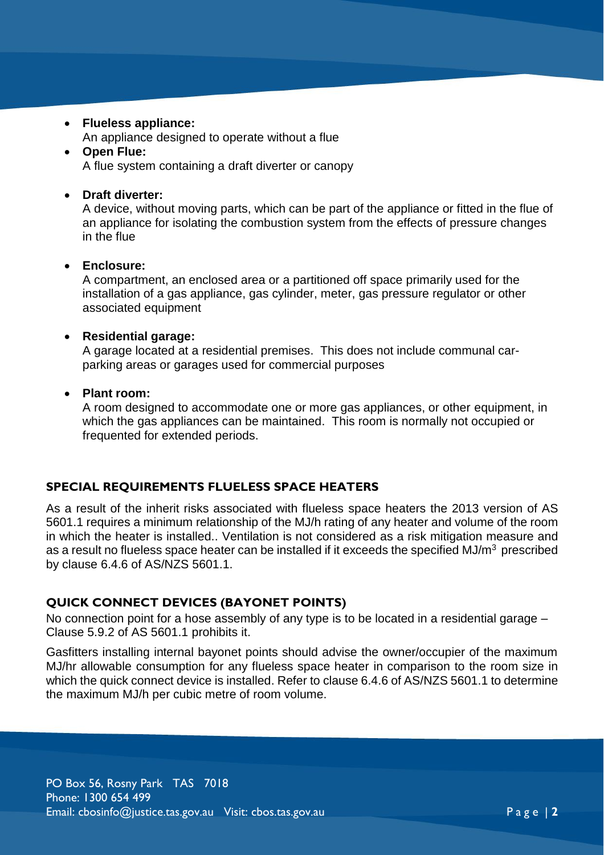- **Flueless appliance:**
	- An appliance designed to operate without a flue
- **Open Flue:** A flue system containing a draft diverter or canopy

#### **Draft diverter:**

A device, without moving parts, which can be part of the appliance or fitted in the flue of an appliance for isolating the combustion system from the effects of pressure changes in the flue

#### **Enclosure:**

A compartment, an enclosed area or a partitioned off space primarily used for the installation of a gas appliance, gas cylinder, meter, gas pressure regulator or other associated equipment

#### **Residential garage:**

A garage located at a residential premises. This does not include communal carparking areas or garages used for commercial purposes

#### **Plant room:**

A room designed to accommodate one or more gas appliances, or other equipment, in which the gas appliances can be maintained. This room is normally not occupied or frequented for extended periods.

#### **SPECIAL REQUIREMENTS FLUELESS SPACE HEATERS**

As a result of the inherit risks associated with flueless space heaters the 2013 version of AS 5601.1 requires a minimum relationship of the MJ/h rating of any heater and volume of the room in which the heater is installed.. Ventilation is not considered as a risk mitigation measure and as a result no flueless space heater can be installed if it exceeds the specified MJ/ $m<sup>3</sup>$  prescribed by clause 6.4.6 of AS/NZS 5601.1.

#### **QUICK CONNECT DEVICES (BAYONET POINTS)**

No connection point for a hose assembly of any type is to be located in a residential garage – Clause 5.9.2 of AS 5601.1 prohibits it.

Gasfitters installing internal bayonet points should advise the owner/occupier of the maximum MJ/hr allowable consumption for any flueless space heater in comparison to the room size in which the quick connect device is installed. Refer to clause 6.4.6 of AS/NZS 5601.1 to determine the maximum MJ/h per cubic metre of room volume.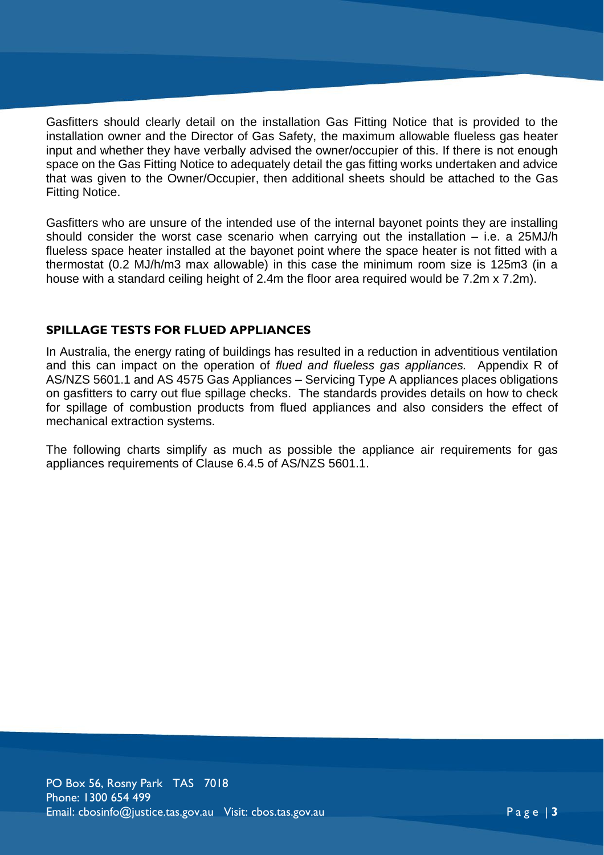Gasfitters should clearly detail on the installation Gas Fitting Notice that is provided to the installation owner and the Director of Gas Safety, the maximum allowable flueless gas heater input and whether they have verbally advised the owner/occupier of this. If there is not enough space on the Gas Fitting Notice to adequately detail the gas fitting works undertaken and advice that was given to the Owner/Occupier, then additional sheets should be attached to the Gas Fitting Notice.

Gasfitters who are unsure of the intended use of the internal bayonet points they are installing should consider the worst case scenario when carrying out the installation – i.e. a 25MJ/h flueless space heater installed at the bayonet point where the space heater is not fitted with a thermostat (0.2 MJ/h/m3 max allowable) in this case the minimum room size is 125m3 (in a house with a standard ceiling height of 2.4m the floor area required would be 7.2m x 7.2m).

#### **SPILLAGE TESTS FOR FLUED APPLIANCES**

In Australia, the energy rating of buildings has resulted in a reduction in adventitious ventilation and this can impact on the operation of *flued and flueless gas appliances.* Appendix R of AS/NZS 5601.1 and AS 4575 Gas Appliances – Servicing Type A appliances places obligations on gasfitters to carry out flue spillage checks. The standards provides details on how to check for spillage of combustion products from flued appliances and also considers the effect of mechanical extraction systems.

The following charts simplify as much as possible the appliance air requirements for gas appliances requirements of Clause 6.4.5 of AS/NZS 5601.1.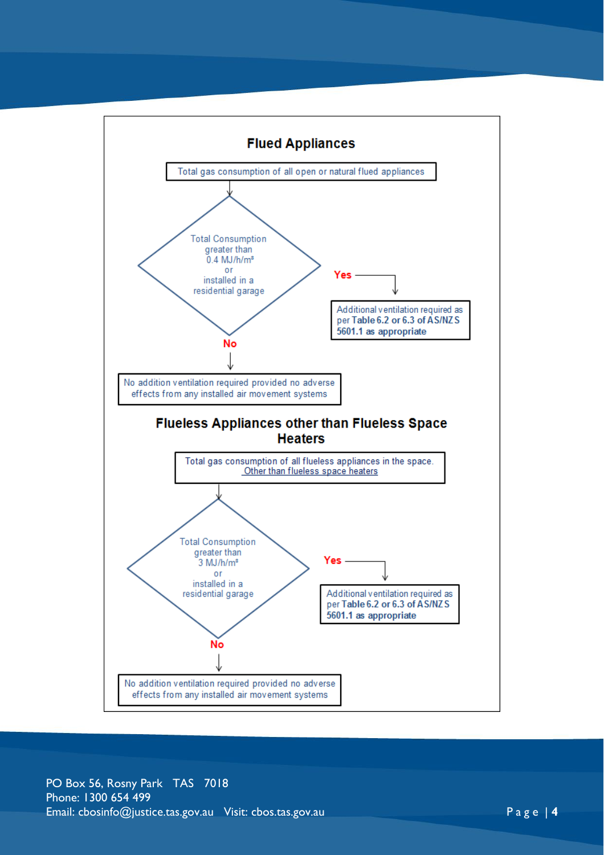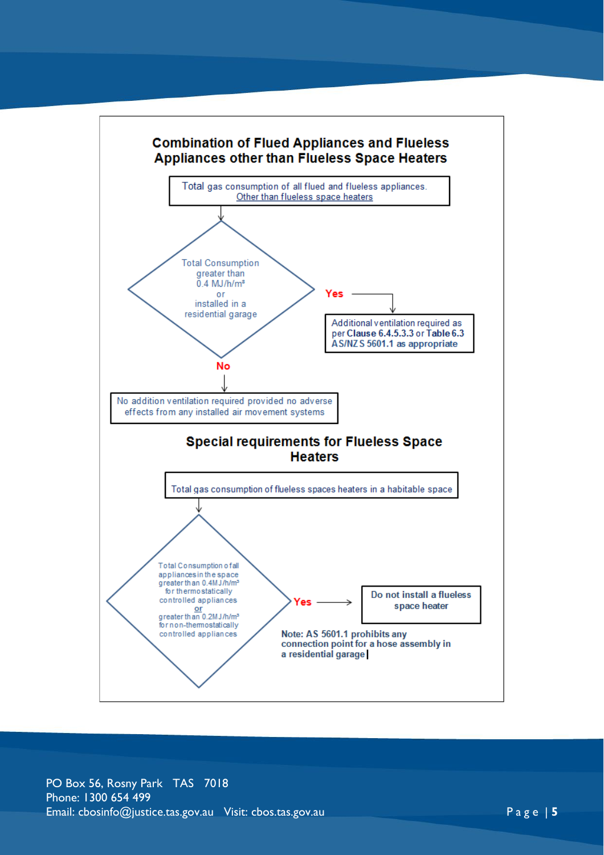